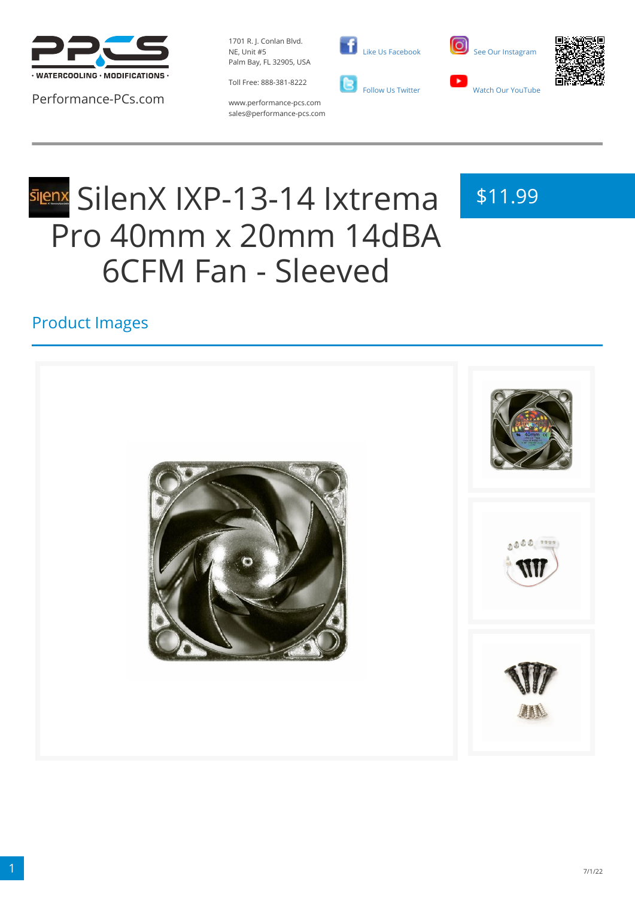

Performance-PCs.com

1701 R. J. Conlan Blvd. NE, Unit #5 Palm Bay, FL 32905, USA

Toll Free: 888-381-8222







www.performance-pcs.com sales@performance-pcs.com

# **silenX IXP-13-14 Ixtrema** Pro 40mm x 20mm 14dBA 6CFM Fan - Sleeved

# \$11.99

#### Product Images

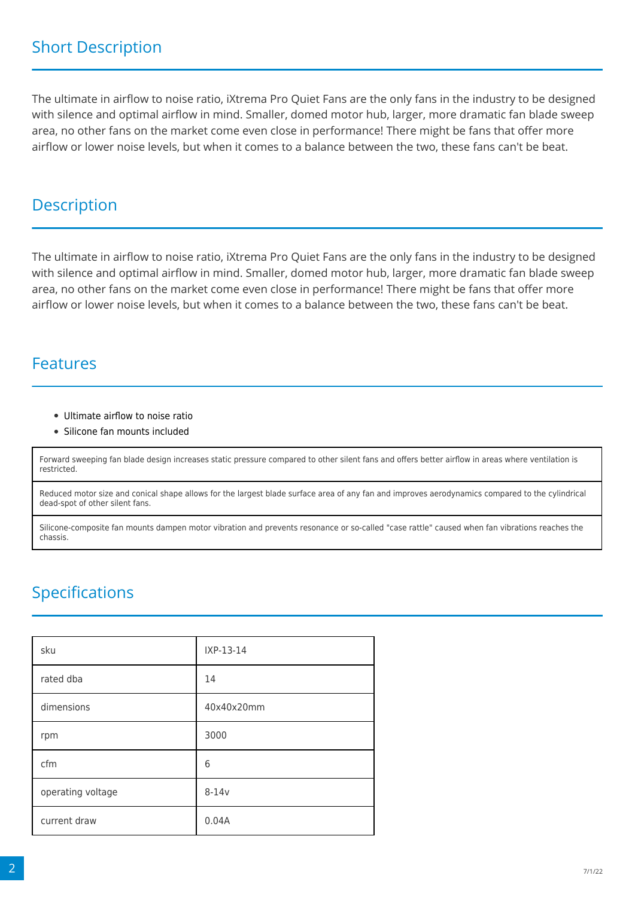The ultimate in airflow to noise ratio, iXtrema Pro Quiet Fans are the only fans in the industry to be designed with silence and optimal airflow in mind. Smaller, domed motor hub, larger, more dramatic fan blade sweep area, no other fans on the market come even close in performance! There might be fans that offer more airflow or lower noise levels, but when it comes to a balance between the two, these fans can't be beat.

#### **Description**

The ultimate in airflow to noise ratio, iXtrema Pro Quiet Fans are the only fans in the industry to be designed with silence and optimal airflow in mind. Smaller, domed motor hub, larger, more dramatic fan blade sweep area, no other fans on the market come even close in performance! There might be fans that offer more airflow or lower noise levels, but when it comes to a balance between the two, these fans can't be beat.

#### Features

- Ultimate airflow to noise ratio
- Silicone fan mounts included

Forward sweeping fan blade design increases static pressure compared to other silent fans and offers better airflow in areas where ventilation is restricted.

Reduced motor size and conical shape allows for the largest blade surface area of any fan and improves aerodynamics compared to the cylindrical dead-spot of other silent fans.

Silicone-composite fan mounts dampen motor vibration and prevents resonance or so-called "case rattle" caused when fan vibrations reaches the chassis.

### Specifications

| sku               | IXP-13-14  |
|-------------------|------------|
| rated dba         | 14         |
| dimensions        | 40x40x20mm |
| rpm               | 3000       |
| cfm               | 6          |
| operating voltage | $8-14v$    |
| current draw      | 0.04A      |